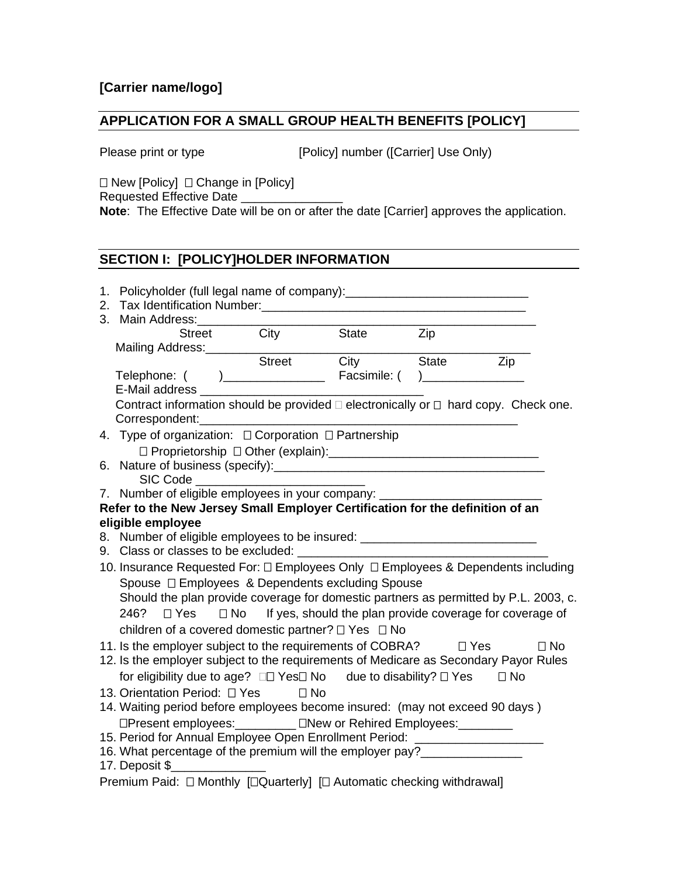## **APPLICATION FOR A SMALL GROUP HEALTH BENEFITS [POLICY]**

Please print or type [Policy] number ([Carrier] Use Only)

 $\Box$  New [Policy]  $\Box$  Change in [Policy] Requested Effective Date **Note**: The Effective Date will be on or after the date [Carrier] approves the application.

# **SECTION I: [POLICY]HOLDER INFORMATION**

| 1. Policyholder (full legal name of company): __________________________________                            |                   |             |                |           |
|-------------------------------------------------------------------------------------------------------------|-------------------|-------------|----------------|-----------|
|                                                                                                             |                   |             |                |           |
| 3. Main Address: _____________                                                                              |                   |             |                |           |
|                                                                                                             | Street City State |             | Zip            |           |
| Mailing Address:__________________________                                                                  |                   |             |                |           |
|                                                                                                             |                   | Street City | State          | Zip       |
| E-Mail address ___________________                                                                          |                   |             | $\overline{a}$ |           |
| Contract information should be provided □ electronically or □ hard copy. Check one.                         |                   |             |                |           |
|                                                                                                             |                   |             |                |           |
|                                                                                                             |                   |             |                |           |
|                                                                                                             |                   |             |                |           |
|                                                                                                             |                   |             |                |           |
| SIC Code                                                                                                    |                   |             |                |           |
| 7. Number of eligible employees in your company:                                                            |                   |             |                |           |
| Refer to the New Jersey Small Employer Certification for the definition of an                               |                   |             |                |           |
| eligible employee                                                                                           |                   |             |                |           |
| 8. Number of eligible employees to be insured: _________________________________                            |                   |             |                |           |
|                                                                                                             |                   |             |                |           |
| 10. Insurance Requested For: $\square$ Employees Only $\square$ Employees & Dependents including            |                   |             |                |           |
| Spouse □ Employees & Dependents excluding Spouse                                                            |                   |             |                |           |
| Should the plan provide coverage for domestic partners as permitted by P.L. 2003, c.                        |                   |             |                |           |
| 246? $\Box$ Yes $\Box$ No If yes, should the plan provide coverage for coverage of                          |                   |             |                |           |
| children of a covered domestic partner? $\Box$ Yes $\Box$ No                                                |                   |             |                |           |
| 11. Is the employer subject to the requirements of COBRA? $\Box$ Yes                                        |                   |             |                | $\Box$ No |
| 12. Is the employer subject to the requirements of Medicare as Secondary Payor Rules                        |                   |             |                |           |
| for eligibility due to age? □□ Yes□ No due to disability? □ Yes                                             |                   |             |                | $\Box$ No |
| 13. Orientation Period: [2] Yes                                                                             | $\Box$ No         |             |                |           |
| 14. Waiting period before employees become insured: (may not exceed 90 days)                                |                   |             |                |           |
|                                                                                                             |                   |             |                |           |
| □Present employees: __________ □New or Rehired Employees: ________                                          |                   |             |                |           |
| 15. Period for Annual Employee Open Enrollment Period: _________________________                            |                   |             |                |           |
| 16. What percentage of the premium will the employer pay?________________<br>17. Deposit \$________________ |                   |             |                |           |
| Premium Paid: □ Monthly [□ Quarterly] [□ Automatic checking withdrawal]                                     |                   |             |                |           |
|                                                                                                             |                   |             |                |           |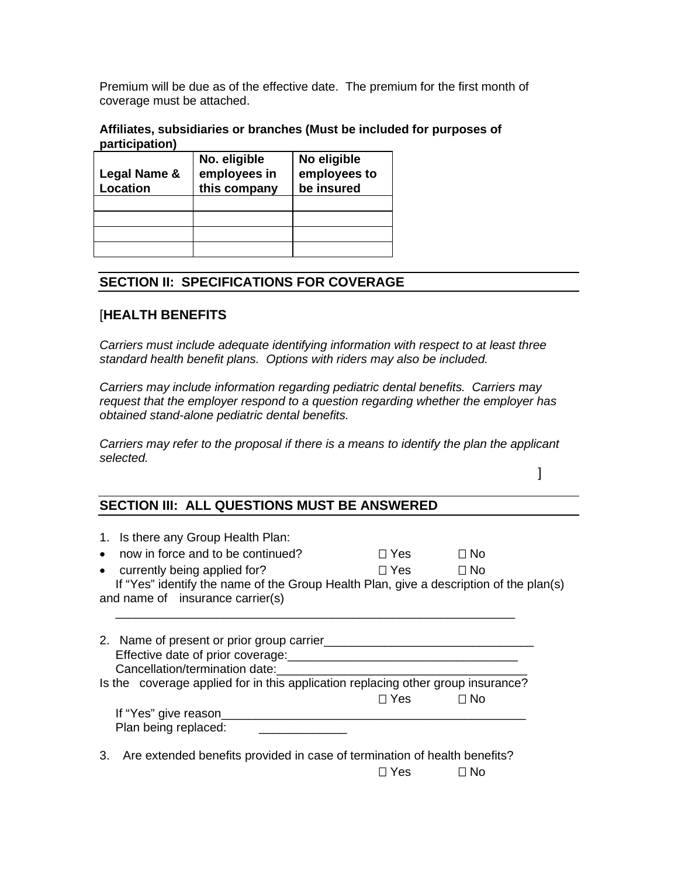Premium will be due as of the effective date. The premium for the first month of coverage must be attached.

#### **Affiliates, subsidiaries or branches (Must be included for purposes of participation)**

|              | No. eligible | No eligible  |
|--------------|--------------|--------------|
| Legal Name & | employees in | employees to |
| Location     | this company | be insured   |
|              |              |              |
|              |              |              |
|              |              |              |
|              |              |              |

# **SECTION II: SPECIFICATIONS FOR COVERAGE**

## [**HEALTH BENEFITS**

*Carriers must include adequate identifying information with respect to at least three standard health benefit plans. Options with riders may also be included.*

*Carriers may include information regarding pediatric dental benefits. Carriers may request that the employer respond to a question regarding whether the employer has obtained stand-alone pediatric dental benefits.*

*Carriers may refer to the proposal if there is a means to identify the plan the applicant selected.*

]

## **SECTION III: ALL QUESTIONS MUST BE ANSWERED**

| $\bullet$<br>$\bullet$ | 1. Is there any Group Health Plan:<br>now in force and to be continued?<br>currently being applied for?<br>If "Yes" identify the name of the Group Health Plan, give a description of the plan(s)<br>and name of insurance carrier(s) | Π Yes — | $\Box$ No<br>$\Box$ No |  |
|------------------------|---------------------------------------------------------------------------------------------------------------------------------------------------------------------------------------------------------------------------------------|---------|------------------------|--|
|                        | 2. Name of present or prior group carrier<br>Effective date of prior coverage:<br>Series and the series of prior coverage:<br>Cancellation/termination date:                                                                          |         |                        |  |
|                        | Is the coverage applied for in this application replacing other group insurance?                                                                                                                                                      |         |                        |  |
|                        |                                                                                                                                                                                                                                       | ∏ Yes — | $\Box$ No              |  |
|                        | If "Yes" give reason<br>Plan being replaced:                                                                                                                                                                                          |         |                        |  |
| 3.                     | Are extended benefits provided in case of termination of health benefits?                                                                                                                                                             |         |                        |  |
|                        |                                                                                                                                                                                                                                       | ⊓ Yes   | ⊟ No                   |  |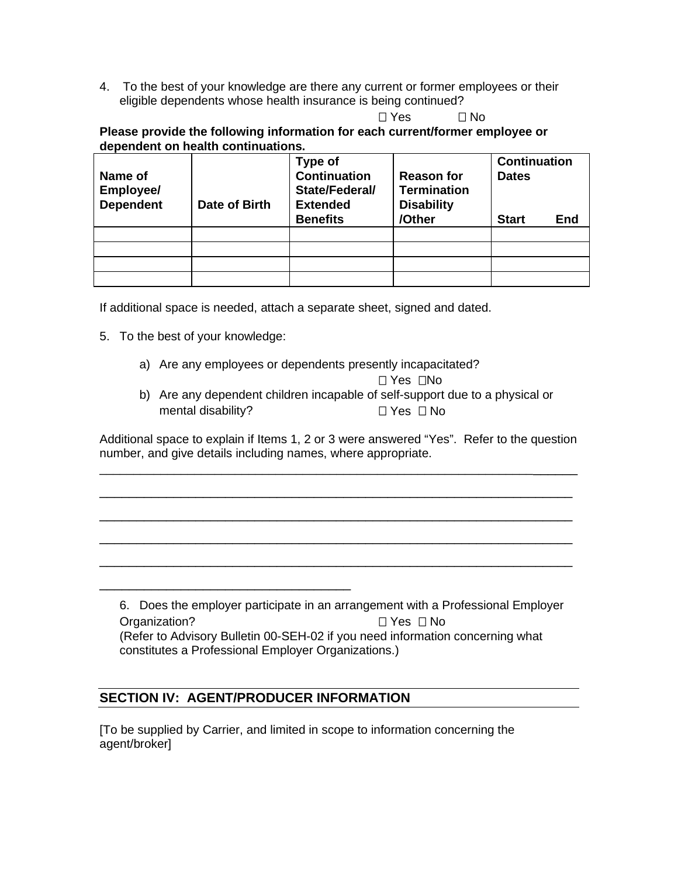4. To the best of your knowledge are there any current or former employees or their eligible dependents whose health insurance is being continued?

 $\Box$  Yes  $\Box$  No

**Please provide the following information for each current/former employee or dependent on health continuations.**

| Name of<br>Employee/ |               | Type of<br><b>Continuation</b><br>State/Federal/ | <b>Reason for</b><br><b>Termination</b> | <b>Continuation</b><br><b>Dates</b> |     |
|----------------------|---------------|--------------------------------------------------|-----------------------------------------|-------------------------------------|-----|
| <b>Dependent</b>     | Date of Birth | <b>Extended</b>                                  | <b>Disability</b>                       |                                     |     |
|                      |               | <b>Benefits</b>                                  | /Other                                  | <b>Start</b>                        | End |
|                      |               |                                                  |                                         |                                     |     |
|                      |               |                                                  |                                         |                                     |     |
|                      |               |                                                  |                                         |                                     |     |
|                      |               |                                                  |                                         |                                     |     |

If additional space is needed, attach a separate sheet, signed and dated.

- 5. To the best of your knowledge:
	- a) Are any employees or dependents presently incapacitated?

 $\Box$  Yes  $\Box$ No

b) Are any dependent children incapable of self-support due to a physical or mental disability?  $\Box$  Yes  $\Box$  No

Additional space to explain if Items 1, 2 or 3 were answered "Yes". Refer to the question number, and give details including names, where appropriate.

\_\_\_\_\_\_\_\_\_\_\_\_\_\_\_\_\_\_\_\_\_\_\_\_\_\_\_\_\_\_\_\_\_\_\_\_\_\_\_\_\_\_\_\_\_\_\_\_\_\_\_\_\_\_\_\_\_\_\_\_\_\_\_\_\_\_\_\_\_\_

\_\_\_\_\_\_\_\_\_\_\_\_\_\_\_\_\_\_\_\_\_\_\_\_\_\_\_\_\_\_\_\_\_\_\_\_\_\_\_\_\_\_\_\_\_\_\_\_\_\_\_\_\_\_\_\_\_\_\_\_\_\_\_\_

\_\_\_\_\_\_\_\_\_\_\_\_\_\_\_\_\_\_\_\_\_\_\_\_\_\_\_\_\_\_\_\_\_\_\_\_\_\_\_\_\_\_\_\_\_\_\_\_\_\_\_\_\_\_\_\_\_\_\_\_\_\_\_\_

\_\_\_\_\_\_\_\_\_\_\_\_\_\_\_\_\_\_\_\_\_\_\_\_\_\_\_\_\_\_\_\_\_\_\_\_\_\_\_\_\_\_\_\_\_\_\_\_\_\_\_\_\_\_\_\_\_\_\_\_\_\_\_\_

\_\_\_\_\_\_\_\_\_\_\_\_\_\_\_\_\_\_\_\_\_\_\_\_\_\_\_\_\_\_\_\_\_\_\_\_\_\_\_\_\_\_\_\_\_\_\_\_\_\_\_\_\_\_\_\_\_\_\_\_\_\_\_\_

6. Does the employer participate in an arrangement with a Professional Employer Organization? 
<br>  $\Box$  Yes  $\Box$  No (Refer to Advisory Bulletin 00-SEH-02 if you need information concerning what constitutes a Professional Employer Organizations.)

## **SECTION IV: AGENT/PRODUCER INFORMATION**

\_\_\_\_\_\_\_\_\_\_\_\_\_\_\_\_\_\_\_\_\_\_\_\_\_\_\_\_\_\_\_\_\_\_

[To be supplied by Carrier, and limited in scope to information concerning the agent/broker]